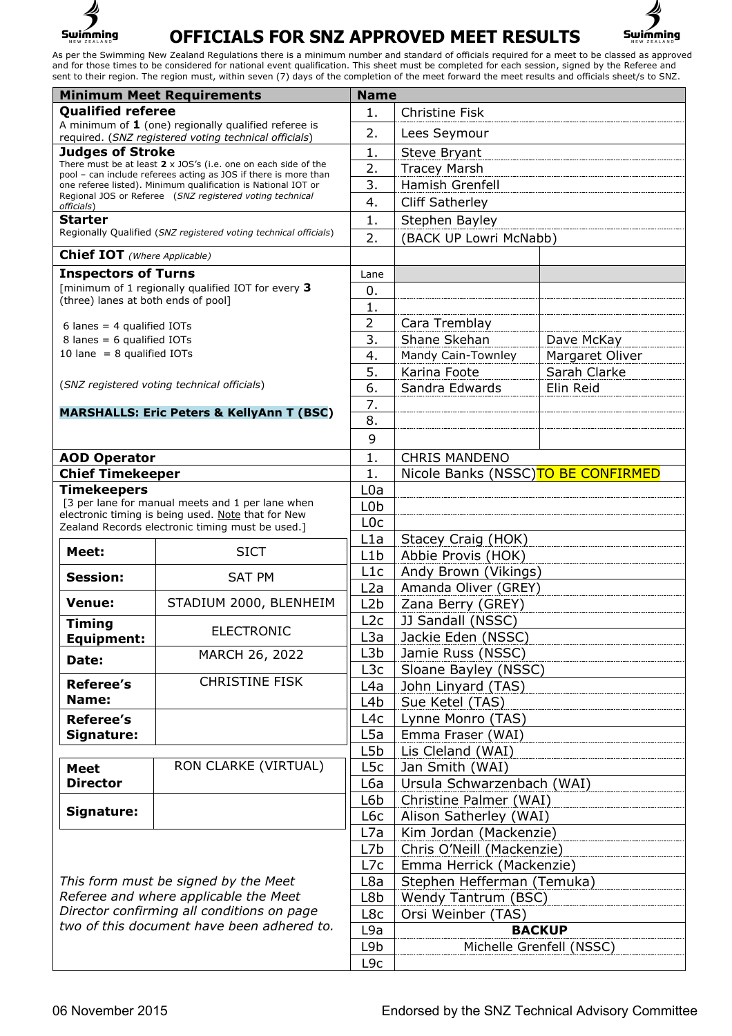

## **OFFICIALS FOR SNZ APPROVED MEET RESULTS**



As per the Swimming New Zealand Regulations there is a minimum number and standard of officials required for a meet to be classed as approved and for those times to be considered for national event qualification. This sheet must be completed for each session, signed by the Referee and sent to their region. The region must, within seven (7) days of the completion of the meet forward the meet results and officials sheet/s to SNZ.

| <b>Minimum Meet Requirements</b>                                                                                                                                          |                                                                                                                                  |                  | <b>Name</b>                                          |                 |  |
|---------------------------------------------------------------------------------------------------------------------------------------------------------------------------|----------------------------------------------------------------------------------------------------------------------------------|------------------|------------------------------------------------------|-----------------|--|
| <b>Qualified referee</b>                                                                                                                                                  |                                                                                                                                  | 1.               | <b>Christine Fisk</b>                                |                 |  |
| A minimum of $1$ (one) regionally qualified referee is                                                                                                                    |                                                                                                                                  | 2.               | Lees Seymour                                         |                 |  |
| required. (SNZ registered voting technical officials)<br><b>Judges of Stroke</b>                                                                                          |                                                                                                                                  | 1.               | Steve Bryant                                         |                 |  |
|                                                                                                                                                                           | There must be at least $2 \times$ JOS's (i.e. one on each side of the                                                            | 2.               | <b>Tracey Marsh</b>                                  |                 |  |
|                                                                                                                                                                           | pool - can include referees acting as JOS if there is more than<br>one referee listed). Minimum qualification is National IOT or | 3.               | Hamish Grenfell                                      |                 |  |
|                                                                                                                                                                           | Regional JOS or Referee (SNZ registered voting technical                                                                         |                  |                                                      |                 |  |
| officials)                                                                                                                                                                |                                                                                                                                  | 4.               | <b>Cliff Satherley</b>                               |                 |  |
| <b>Starter</b>                                                                                                                                                            | Regionally Qualified (SNZ registered voting technical officials)                                                                 | 1.               | Stephen Bayley                                       |                 |  |
|                                                                                                                                                                           |                                                                                                                                  | 2.               | (BACK UP Lowri McNabb)                               |                 |  |
| <b>Chief IOT</b> (Where Applicable)                                                                                                                                       |                                                                                                                                  |                  |                                                      |                 |  |
| <b>Inspectors of Turns</b>                                                                                                                                                |                                                                                                                                  | Lane             |                                                      |                 |  |
| [minimum of 1 regionally qualified IOT for every 3<br>(three) lanes at both ends of pool]                                                                                 |                                                                                                                                  | 0.               |                                                      |                 |  |
|                                                                                                                                                                           |                                                                                                                                  | 1.               |                                                      |                 |  |
| 6 lanes = $4$ qualified IOTs                                                                                                                                              |                                                                                                                                  | $\overline{2}$   | Cara Tremblay                                        |                 |  |
| 8 lanes = 6 qualified IOTs                                                                                                                                                |                                                                                                                                  | 3.               | Shane Skehan                                         | Dave McKay      |  |
| 10 lane = $8$ qualified IOTs                                                                                                                                              |                                                                                                                                  | 4.               | Mandy Cain-Townley                                   | Margaret Oliver |  |
|                                                                                                                                                                           |                                                                                                                                  | 5.               | Karina Foote                                         | Sarah Clarke    |  |
|                                                                                                                                                                           | (SNZ registered voting technical officials)                                                                                      | 6.               | Sandra Edwards                                       | Elin Reid       |  |
|                                                                                                                                                                           |                                                                                                                                  | 7.               |                                                      |                 |  |
|                                                                                                                                                                           | <b>MARSHALLS: Eric Peters &amp; KellyAnn T (BSC)</b>                                                                             | 8.               |                                                      |                 |  |
|                                                                                                                                                                           |                                                                                                                                  | 9                |                                                      |                 |  |
| <b>AOD Operator</b>                                                                                                                                                       |                                                                                                                                  | 1.               | <b>CHRIS MANDENO</b>                                 |                 |  |
| <b>Chief Timekeeper</b>                                                                                                                                                   |                                                                                                                                  | 1.               | Nicole Banks (NSSC)TO BE CONFIRMED                   |                 |  |
| <b>Timekeepers</b>                                                                                                                                                        |                                                                                                                                  | L0a              |                                                      |                 |  |
|                                                                                                                                                                           | [3 per lane for manual meets and 1 per lane when                                                                                 | L <sub>0</sub> b |                                                      |                 |  |
|                                                                                                                                                                           | electronic timing is being used. Note that for New                                                                               | L <sub>0</sub> c |                                                      |                 |  |
|                                                                                                                                                                           | Zealand Records electronic timing must be used.]                                                                                 | L1a              | Stacey Craig (HOK)                                   |                 |  |
| Meet:                                                                                                                                                                     | <b>SICT</b>                                                                                                                      | L1b              | Abbie Provis (HOK)                                   |                 |  |
|                                                                                                                                                                           | <b>SAT PM</b>                                                                                                                    | L1c              | Andy Brown (Vikings)                                 |                 |  |
| <b>Session:</b>                                                                                                                                                           |                                                                                                                                  | L2a              | Amanda Oliver (GREY)                                 |                 |  |
| <b>Venue:</b>                                                                                                                                                             | STADIUM 2000, BLENHEIM                                                                                                           | L2b              | Zana Berry (GREY)                                    |                 |  |
|                                                                                                                                                                           |                                                                                                                                  | L2c              | JJ Sandall (NSSC)                                    |                 |  |
| <b>Timing</b><br><b>Equipment:</b>                                                                                                                                        | <b>ELECTRONIC</b>                                                                                                                | L <sub>3</sub> a | Jackie Eden (NSSC)                                   |                 |  |
|                                                                                                                                                                           | MARCH 26, 2022                                                                                                                   | L3b              | Jamie Russ (NSSC)                                    |                 |  |
| Date:                                                                                                                                                                     |                                                                                                                                  | L3c              | Sloane Bayley (NSSC)                                 |                 |  |
| <b>Referee's</b>                                                                                                                                                          | <b>CHRISTINE FISK</b>                                                                                                            | L4a              | John Linyard (TAS)                                   |                 |  |
| Name:                                                                                                                                                                     |                                                                                                                                  | L <sub>4</sub> b | Sue Ketel (TAS)                                      |                 |  |
| <b>Referee's</b>                                                                                                                                                          |                                                                                                                                  | L4c              | Lynne Monro (TAS)                                    |                 |  |
| Signature:                                                                                                                                                                |                                                                                                                                  | L <sub>5</sub> a | Emma Fraser (WAI)                                    |                 |  |
|                                                                                                                                                                           |                                                                                                                                  | L <sub>5</sub> b | Lis Cleland (WAI)                                    |                 |  |
| <b>Meet</b>                                                                                                                                                               | RON CLARKE (VIRTUAL)                                                                                                             | L <sub>5</sub> c | Jan Smith (WAI)                                      |                 |  |
| <b>Director</b>                                                                                                                                                           |                                                                                                                                  | L6a              |                                                      |                 |  |
|                                                                                                                                                                           |                                                                                                                                  | L6b              | Ursula Schwarzenbach (WAI)<br>Christine Palmer (WAI) |                 |  |
| Signature:                                                                                                                                                                |                                                                                                                                  | L6c              | Alison Satherley (WAI)                               |                 |  |
|                                                                                                                                                                           |                                                                                                                                  | L7a              | Kim Jordan (Mackenzie)                               |                 |  |
|                                                                                                                                                                           |                                                                                                                                  | L7b              | Chris O'Neill (Mackenzie)                            |                 |  |
|                                                                                                                                                                           |                                                                                                                                  |                  | Emma Herrick (Mackenzie)                             |                 |  |
| This form must be signed by the Meet<br>Referee and where applicable the Meet<br>Director confirming all conditions on page<br>two of this document have been adhered to. |                                                                                                                                  | L7c<br>L8a       |                                                      |                 |  |
|                                                                                                                                                                           |                                                                                                                                  | L8b              | Stephen Hefferman (Temuka)                           |                 |  |
|                                                                                                                                                                           |                                                                                                                                  |                  | Wendy Tantrum (BSC)                                  |                 |  |
|                                                                                                                                                                           |                                                                                                                                  | L8c              | Orsi Weinber (TAS)                                   |                 |  |
|                                                                                                                                                                           |                                                                                                                                  | L9a              | <b>BACKUP</b>                                        |                 |  |
|                                                                                                                                                                           |                                                                                                                                  | L9b              | Michelle Grenfell (NSSC)                             |                 |  |
|                                                                                                                                                                           |                                                                                                                                  | L <sub>9c</sub>  |                                                      |                 |  |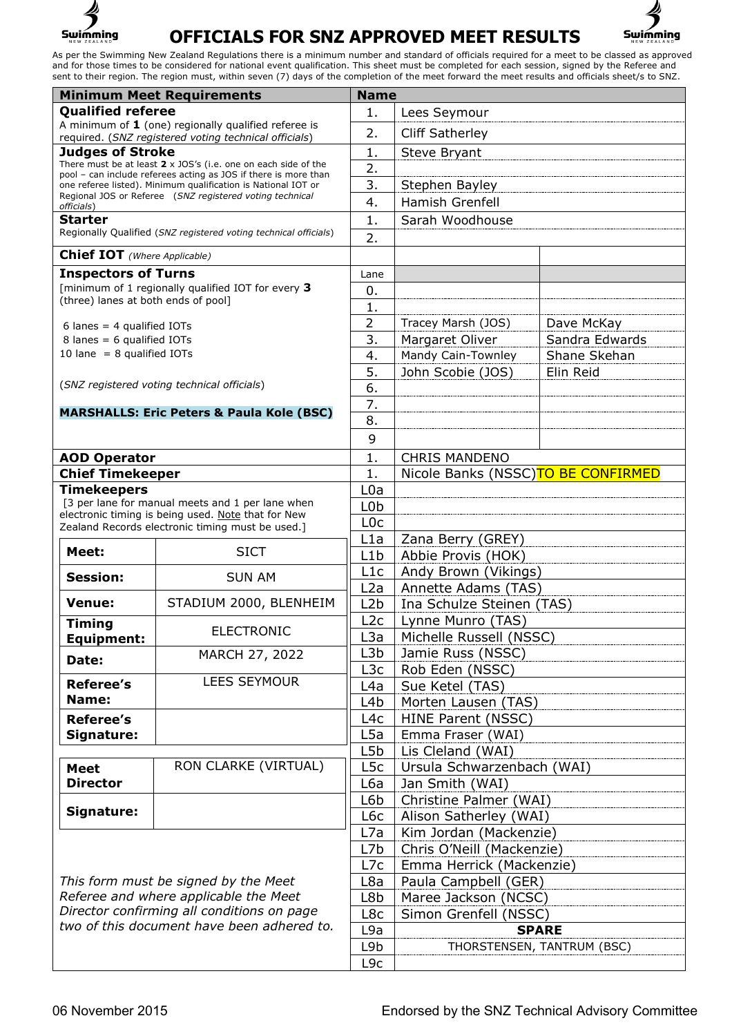

## **OFFICIALS FOR SNZ APPROVED MEET RESULTS**



As per the Swimming New Zealand Regulations there is a minimum number and standard of officials required for a meet to be classed as approved and for those times to be considered for national event qualification. This sheet must be completed for each session, signed by the Referee and sent to their region. The region must, within seven (7) days of the completion of the meet forward the meet results and officials sheet/s to SNZ.

| <b>Minimum Meet Requirements</b>                                                         |                                                                                                                                  | <b>Name</b>            |                                                            |                |  |
|------------------------------------------------------------------------------------------|----------------------------------------------------------------------------------------------------------------------------------|------------------------|------------------------------------------------------------|----------------|--|
| <b>Qualified referee</b>                                                                 |                                                                                                                                  | 1.                     | Lees Seymour                                               |                |  |
| A minimum of $1$ (one) regionally qualified referee is                                   |                                                                                                                                  | 2.                     | <b>Cliff Satherley</b>                                     |                |  |
| required. (SNZ registered voting technical officials)<br><b>Judges of Stroke</b>         |                                                                                                                                  | 1.                     | Steve Bryant                                               |                |  |
|                                                                                          | There must be at least $2 \times 30S$ 's (i.e. one on each side of the                                                           | 2.                     |                                                            |                |  |
|                                                                                          | pool - can include referees acting as JOS if there is more than<br>one referee listed). Minimum qualification is National IOT or | 3.                     | Stephen Bayley                                             |                |  |
|                                                                                          | Regional JOS or Referee (SNZ registered voting technical                                                                         | 4.                     | Hamish Grenfell                                            |                |  |
| officials)<br><b>Starter</b>                                                             |                                                                                                                                  | 1.                     | Sarah Woodhouse                                            |                |  |
|                                                                                          | Regionally Qualified (SNZ registered voting technical officials)                                                                 |                        |                                                            |                |  |
| <b>Chief IOT</b> (Where Applicable)                                                      |                                                                                                                                  | 2.                     |                                                            |                |  |
|                                                                                          |                                                                                                                                  | Lane                   |                                                            |                |  |
| <b>Inspectors of Turns</b><br>[minimum of 1 regionally qualified IOT for every 3         |                                                                                                                                  | 0.                     |                                                            |                |  |
| (three) lanes at both ends of pool]                                                      |                                                                                                                                  | 1.                     |                                                            |                |  |
|                                                                                          |                                                                                                                                  | $\overline{2}$         | Tracey Marsh (JOS)                                         | Dave McKay     |  |
| 6 lanes = $4$ qualified IOTs<br>8 lanes = $6$ qualified IOTs                             |                                                                                                                                  | 3.                     | Margaret Oliver                                            | Sandra Edwards |  |
| 10 lane = $8$ qualified IOTs                                                             |                                                                                                                                  | 4.                     | Mandy Cain-Townley                                         | Shane Skehan   |  |
|                                                                                          |                                                                                                                                  | 5.                     | John Scobie (JOS)                                          | Elin Reid      |  |
|                                                                                          | (SNZ registered voting technical officials)                                                                                      | 6.                     |                                                            |                |  |
|                                                                                          |                                                                                                                                  | 7.                     |                                                            |                |  |
|                                                                                          | <b>MARSHALLS: Eric Peters &amp; Paula Kole (BSC)</b>                                                                             | 8.                     |                                                            |                |  |
|                                                                                          |                                                                                                                                  | 9                      |                                                            |                |  |
|                                                                                          |                                                                                                                                  | 1.                     |                                                            |                |  |
| <b>AOD Operator</b><br><b>Chief Timekeeper</b>                                           |                                                                                                                                  | 1.                     | <b>CHRIS MANDENO</b><br>Nicole Banks (NSSC)TO BE CONFIRMED |                |  |
| <b>Timekeepers</b>                                                                       |                                                                                                                                  | L <sub>0</sub> a       |                                                            |                |  |
|                                                                                          | [3 per lane for manual meets and 1 per lane when                                                                                 | L <sub>0</sub> b       |                                                            |                |  |
|                                                                                          | electronic timing is being used. Note that for New                                                                               | L <sub>0</sub> c       |                                                            |                |  |
|                                                                                          | Zealand Records electronic timing must be used.]                                                                                 | L <sub>1</sub> a       | Zana Berry (GREY)                                          |                |  |
| Meet:                                                                                    | <b>SICT</b>                                                                                                                      | L1b                    | Abbie Provis (HOK)                                         |                |  |
|                                                                                          |                                                                                                                                  | L1c                    | Andy Brown (Vikings)                                       |                |  |
| <b>Session:</b>                                                                          | <b>SUN AM</b>                                                                                                                    | L <sub>2</sub> a       | Annette Adams (TAS)                                        |                |  |
| <b>Venue:</b>                                                                            | STADIUM 2000, BLENHEIM                                                                                                           | L2b                    | Ina Schulze Steinen (TAS)                                  |                |  |
| <b>Timing</b>                                                                            |                                                                                                                                  | L2c                    | Lynne Munro (TAS)                                          |                |  |
| <b>Equipment:</b>                                                                        | ELECTRONIC                                                                                                                       | L <sub>3</sub> a       | Michelle Russell (NSSC)                                    |                |  |
| Date:                                                                                    | MARCH 27, 2022                                                                                                                   | L3b                    | Jamie Russ (NSSC)                                          |                |  |
|                                                                                          |                                                                                                                                  | L3c                    | Rob Eden (NSSC)                                            |                |  |
| <b>Referee's</b>                                                                         | <b>LEES SEYMOUR</b>                                                                                                              | L4a                    | Sue Ketel (TAS)                                            |                |  |
| Name:                                                                                    |                                                                                                                                  | L <sub>4</sub> b       | Morten Lausen (TAS)                                        |                |  |
| <b>Referee's</b>                                                                         |                                                                                                                                  | L4c                    | HINE Parent (NSSC)                                         |                |  |
| Signature:                                                                               |                                                                                                                                  | L5a                    | Emma Fraser (WAI)                                          |                |  |
|                                                                                          |                                                                                                                                  | L5b                    | Lis Cleland (WAI)                                          |                |  |
| <b>Meet</b>                                                                              | RON CLARKE (VIRTUAL)                                                                                                             | L <sub>5</sub> c       | Ursula Schwarzenbach (WAI)                                 |                |  |
| <b>Director</b>                                                                          |                                                                                                                                  | L6a                    | Jan Smith (WAI)                                            |                |  |
|                                                                                          |                                                                                                                                  | L6b                    | Christine Palmer (WAI)                                     |                |  |
| Signature:                                                                               |                                                                                                                                  | L6c                    | Alison Satherley (WAI)                                     |                |  |
|                                                                                          |                                                                                                                                  | L7a<br>L <sub>7b</sub> | Kim Jordan (Mackenzie)                                     |                |  |
|                                                                                          |                                                                                                                                  |                        | Chris O'Neill (Mackenzie)                                  |                |  |
|                                                                                          |                                                                                                                                  |                        | Emma Herrick (Mackenzie)                                   |                |  |
| This form must be signed by the Meet                                                     |                                                                                                                                  | L8a                    | Paula Campbell (GER)                                       |                |  |
| Referee and where applicable the Meet                                                    |                                                                                                                                  | L8b                    | Maree Jackson (NCSC)                                       |                |  |
| Director confirming all conditions on page<br>two of this document have been adhered to. |                                                                                                                                  | L8c                    | Simon Grenfell (NSSC)                                      |                |  |
|                                                                                          |                                                                                                                                  | L9a                    | <b>SPARE</b>                                               |                |  |
|                                                                                          |                                                                                                                                  | L9b                    | THORSTENSEN, TANTRUM (BSC)                                 |                |  |
|                                                                                          |                                                                                                                                  | L <sub>9c</sub>        |                                                            |                |  |